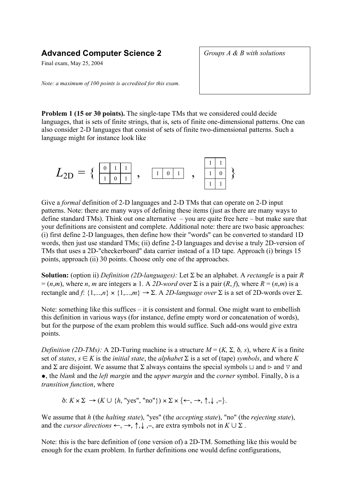## **Advanced Computer Science 2**

Final exam, May 25, 2004

*Groups A & B with solutions*

*Note: a maximum of 100 points is accredited for this exam.*

**Problem 1 (15 or 30 points).** The single-tape TMs that we considered could decide languages, that is sets of finite strings, that is, sets of finite one-dimensional patterns. One can also consider 2-D languages that consist of sets of finite two-dimensional patterns. Such a language might for instance look like



Give a *formal* definition of 2-D languages and 2-D TMs that can operate on 2-D input patterns. Note: there are many ways of defining these items (just as there are many ways to define standard TMs). Think out one alternative – you are quite free here – but make sure that your definitions are consistent and complete. Additional note: there are two basic approaches: (i) first define 2-D languages, then define how their "words" can be converted to standard 1D words, then just use standard TMs; (ii) define 2-D languages and devise a truly 2D-version of TMs that uses a 2D-"checkerboard" data carrier instead of a 1D tape. Approach (i) brings 15 points, approach (ii) 30 points. Choose only one of the approaches.

**Solution:** (option ii) *Definition (2D-languages):* Let Σ be an alphabet. A *rectangle* is a pair *R*  $= (n,m)$ , where *n*, *m* are integers  $\geq 1$ . A 2D-word over  $\Sigma$  is a pair  $(R, f)$ , where  $R = (n,m)$  is a rectangle and *f*:  $\{1,...,n\} \times \{1,...,m\} \rightarrow \Sigma$ . A 2D-language *over*  $\Sigma$  is a set of 2D-words over  $\Sigma$ .

Note: something like this suffices – it is consistent and formal. One might want to embellish this definition in various ways (for instance, define empty word or concatenation of words), but for the purpose of the exam problem this would suffice. Such add-ons would give extra points.

*Definition (2D-TMs):* A 2D-Turing machine is a structure  $M = (K, \Sigma, \delta, s)$ , where K is a finite set of *states*,  $s \in K$  is the *initial state*, the *alphabet*  $\Sigma$  is a set of (tape) *symbols*, and where K and Σ are disjoint. We assume that Σ always contains the special symbols  $\sqcup$  and  $\triangleright$  and  $\triangleright$  and ˜, the *blank* and the *left margin* and the *upper margin* and the *corner* symbol. Finally, δ is a *transition function*, where

 $\delta: K \times \Sigma \rightarrow (K \cup \{h, \text{ "yes", "no"}\}) \times \Sigma \times \{\leftarrow, \rightarrow, \uparrow, \downarrow, -\}.$ 

We assume that *h* (the *halting state*), "yes" (the *accepting state*), "no" (the *rejecting state*), and the *cursor directions*  $\leftarrow$ ,  $\rightarrow$ ,  $\uparrow$ ,  $\downarrow$ ,  $\rightarrow$ , are extra symbols not in  $K \cup \Sigma$ .

Note: this is the bare definition of (one version of) a 2D-TM. Something like this would be enough for the exam problem. In further definitions one would define configurations,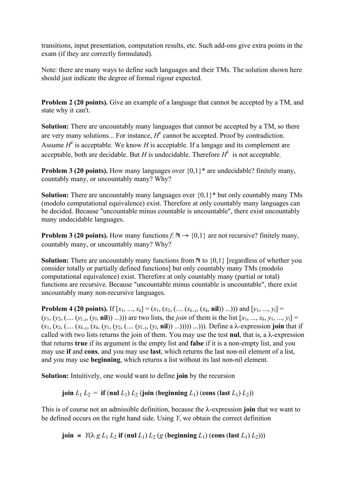transitions, input presentation, computation results, etc. Such add-ons give extra points in the exam (if they are correctly formulated).

Note: there are many ways to define such languages and their TMs. The solution shown here should just indicate the degree of formal rigour expected.

**Problem 2 (20 points).** Give an example of a language that cannot be accepted by a TM, and state why it can't.

**Solution:** There are uncountably many languages that cannot be accepted by a TM, so there are very many solutions... For instance,  $H^c$  cannot be accepted. Proof by contradiction. Assume  $H^c$  is acceptable. We know *H* is acceptable. If a langage and its complement are acceptable, both are decidable. But *H* is undecidable. Therefore  $H^c$  is not acceptable.

**Problem 3 (20 points).** How many languages over  $\{0,1\}^*$  are undecidable? finitely many, countably many, or uncountably many? Why?

**Solution:** There are uncountably many languages over {0,1}\* but only countably many TMs (modolo computational equivalence) exist. Therefore at only countably many languages can be decided. Because "uncountable minus countable is uncountable", there exist uncountably many undecidable languages.

**Problem 3 (20 points).** How many functions  $f: \mathbb{N} \rightarrow \{0,1\}$  are not recursive? finitely many, countably many, or uncountably many? Why?

**Solution:** There are uncountably many functions from  $\mathbb N$  to  $\{0,1\}$  [regardless of whether you consider totally or partially defined functions] but only countably many TMs (modolo computational equivalence) exist. Therefore at only countably many (partial or total) functions are recursive. Because "uncountable minus countable is uncountable", there exist uncountably many non-recursive languages.

**Problem 4 (20 points).** If  $[x_1, ..., x_k] = (x_1, (x_2, (..., (x_{k-1}, (x_k, \textbf{nil})) ...)))$  and  $[y_1, ..., y_l] =$  $(y_1, (y_2, (..., y_{l-1}, (y_l, \textbf{nil})) ...)$  are two lists, the *join* of them is the list  $[x_1, ..., x_k, y_1, ..., y_l] =$  $(x_1, (x_2, (.... (x_{k-1}, (x_k, (y_1, (y_2, (.... (y_{k-1}, (y_k, **nil**))))...))))$ ...))). Define a <math>\lambda</math>-expression join that if called with two lists returns the join of them. You may use the test **nul**, that is, a λ-expression that returns **true** if its argument is the empty list and **false** if it is a non-empty list, and you may use **if** and **cons**, and you may use **last**, which returns the last non-nil element of a list, and you may use **beginning**, which returns a list without its last non-nil element.

**Solution:** Intuitively, one would want to define **join** by the recursion

**join**  $L_1 L_2 = \textbf{if} (\textbf{null} L_1) L_2$  (**join** (**beginning**  $L_1$ ) (**cons** (**last**  $L_1$ )  $L_2$ ))

This is of course not an admissible definition, because the λ-expression **join** that we want to be defined occurs on the right hand side. Using *Y*, we obtain the correct definition

**join** =  $Y(\lambda g L_1 L_2 \text{ if } (\text{null } L_1) L_2 (g (\text{beginning } L_1) (\text{cons } (\text{last } L_1) L_2)))$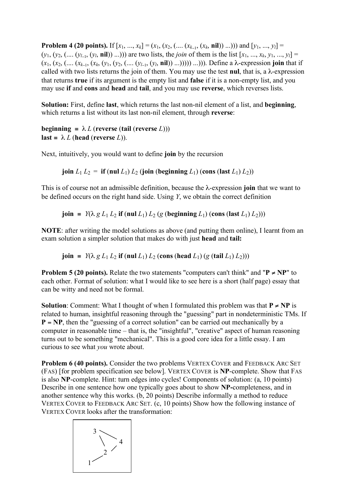**Problem 4 (20 points).** If  $[x_1, ..., x_k] = (x_1, (x_2, (.... (x_{k-1}, (x_k, nil)) ...)))$  and  $[y_1, ..., y_l] =$  $(y_1, (y_2, (..., y_{l-1}, (y_l, \textbf{nil})) ...))$  are two lists, the *join* of them is the list  $[x_1, ..., x_k, y_1, ..., y_l] =$ (*x*1, (*x*2, (.... (*xk*−1, (*xk*, (*y*1, (*y*2, (.... (*yl*−1, (*yl*, **nil**)) ...))))) ...))). Define a λ-expression **join** that if called with two lists returns the join of them. You may use the test **nul**, that is, a  $\lambda$ -expression that returns **true** if its argument is the empty list and **false** if it is a non-empty list, and you may use **if** and **cons** and **head** and **tail**, and you may use **reverse**, which reverses lists.

**Solution:** First, define **last**, which returns the last non-nil element of a list, and **beginning**, which returns a list without its last non-nil element, through **reverse**:

**beginning** =  $\lambda L$  (**reverse** (**tail** (**reverse** *L*))) **last** =  $\lambda L$  (**head** (**reverse** *L*)).

Next, intuitively, you would want to define **join** by the recursion

**join**  $L_1 L_2 = \textbf{if} (\textbf{null} L_1) L_2$  (**join** (**beginning**  $L_1$ ) (**cons** (**last**  $L_1$ )  $L_2$ ))

This is of course not an admissible definition, because the λ-expression **join** that we want to be defined occurs on the right hand side. Using *Y*, we obtain the correct definition

**join** =  $Y(\lambda g L_1 L_2 \text{ if } (\text{null } L_1) L_2 (g (\text{beginning } L_1) (\text{cons } (\text{last } L_1) L_2)))$ 

**NOTE**: after writing the model solutions as above (and putting them online), I learnt from an exam solution a simpler solution that makes do with just **head** and **tail:**

**join** =  $Y(\lambda g L_1 L_2 \text{ if } (\text{null } L_1) L_2 (\text{cons } (\text{head } L_1) (g (\text{tail } L_1) L_2)))$ 

**Problem 5** (20 **points).** Relate the two statements "computers can't think" and " $P \neq NP$ " to each other. Format of solution: what I would like to see here is a short (half page) essay that can be witty and need not be formal.

**Solution**: Comment: What I thought of when I formulated this problem was that  $P \neq NP$  is related to human, insightful reasoning through the "guessing" part in nondeterministic TMs. If **P** = **NP**, then the "guessing of a correct solution" can be carried out mechanically by a computer in reasonable time – that is, the "insightful", "creative" aspect of human reasoning turns out to be something "mechanical". This is a good core idea for a little essay. I am curious to see what *you* wrote about.

**Problem 6 (40 points).** Consider the two problems VERTEX COVER and FEEDBACK ARC SET (FAS) [for problem specification see below]. VERTEX COVER is **NP**-complete. Show that FAS is also **NP**-complete. Hint: turn edges into cycles! Components of solution: (a, 10 points) Describe in one sentence how one typically goes about to show **NP-**completeness, and in another sentence why this works. (b, 20 points) Describe informally a method to reduce VERTEX COVER to FEEDBACK ARC SET. (c, 10 points) Show how the following instance of VERTEX COVER looks after the transformation:

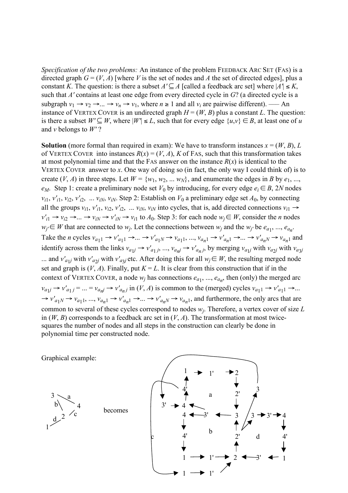*Specification of the two problems:* An instance of the problem FEEDBACK ARC SET (FAS) is a directed graph  $G = (V, A)$  [where *V* is the set of nodes and *A* the set of directed edges], plus a constant *K*. The question: is there a subset  $A' \subseteq A$  [called a feedback arc set] where  $|A'| \le K$ , such that *A'* contains at least one edge from every directed cycle in *G*? (a directed cycle is a subgraph  $v_1 \rightarrow v_2 \rightarrow ... \rightarrow v_n \rightarrow v_1$ , where  $n \ge 1$  and all  $v_i$  are pairwise different). — An instance of VERTEX COVER is an undirected graph  $H = (W, B)$  plus a constant *L*. The question: is there a subset  $W' \subseteq W$ , where  $|W'| \leq L$ , such that for every edge  $\{u, v\} \in B$ , at least one of *u* and *v* belongs to *W'* ?

**Solution** (more formal than required in exam): We have to transform instances  $x = (W, B), L$ of VERTEX COVER into instances  $R(x) = (V, A)$ ,  $K$  of FAS, such that this transformation takes at most polynomial time and that the FAS answer on the instance  $R(x)$  is identical to the VERTEX COVER answer to *x*. One way of doing so (in fact, the only way I could think of) is to create  $(V, A)$  in three steps. Let  $W = \{w_1, w_2, \dots w_N\}$ , and enumerate the edges in *B* by  $e_1, \dots$ , *e<sub>M</sub>*. Step 1: create a preliminary node set  $V_0$  by introducing, for every edge  $e_i \in B$ , 2*N* nodes  $v_{i1}$ ,  $v'_{i1}$ ,  $v_{i2}$ ,  $v'_{i2}$ , ...  $v_{iN}$ ,  $v_{iN}$ . Step 2: Establish on  $V_0$  a preliminary edge set  $A_0$ , by connecting all the groups  $v_{i1}$ ,  $v'_{i1}$ ,  $v_{i2}$ ,  $v'_{i2}$ , ...  $v_{iN}$ ,  $v_{iN}$  into cycles, that is, add directed connections  $v_{i1} \rightarrow$  $v'_{i1} \rightarrow v_{i2} \rightarrow ... \rightarrow v_{iN} \rightarrow v'_{iN} \rightarrow v_{i1}$  to  $A_0$ . Step 3: for each node  $w_i \in W$ , consider the *n* nodes  $w_j \in W$  that are connected to  $w_j$ . Let the connections between  $w_j$  and the  $w_j$  be  $e_{a_1}, ..., e_{a_n}$ . Take the *n* cycles  $v_{a_1 1} \rightarrow v'_{a_1 1} \rightarrow ... \rightarrow v'_{a_1 N} \rightarrow v_{a_1 1}, ..., v_{a_n 1} \rightarrow v'_{a_n 1} \rightarrow ... \rightarrow v'_{a_n N} \rightarrow v_{a_n 1}$  and identify across them the links  $v_{a1j} \rightarrow v'_{a1j}$ , ...,  $v_{anl} \rightarrow v'_{anl}$ , by merging  $v_{a1j}$  with  $v_{a2j}$  with  $v_{a3j}$ ... and  $v'_{a1j}$  with  $v'_{a2j}$  with  $v'_{a3j}$  etc. After doing this for all  $w_j \in W$ , the resulting merged node set and graph is  $(V, A)$ . Finally, put  $K = L$ . It is clear from this construction that if in the context of VERTEX COVER, a node  $w_i$  has connections  $e_{a_1}, ..., e_{a_n}$ , then (only) the merged arc  $v_{a1j} \rightarrow v'_{a1j} = ... = v_{anj} \rightarrow v'_{anj}$  in  $(V, A)$  is common to the (merged) cycles  $v_{a11} \rightarrow v'_{a11} \rightarrow ...$  $\rightarrow v'_{a_1} \rightarrow v_{a_1} \rightarrow v'_{a_n}$   $\rightarrow v'_{a_n}$   $\rightarrow \cdots \rightarrow v'_{a_n}$ ,  $\rightarrow v_{a_n}$ , and furthermore, the only arcs that are common to several of these cycles correspond to nodes *wj*. Therefore, a vertex cover of size *L* in  $(W, B)$  corresponds to a feedback arc set in  $(V, A)$ . The transformation at most twicesquares the number of nodes and all steps in the construction can clearly be done in polynomial time per constructed node.

Graphical example:

3 4 2 1 b d a

becomes

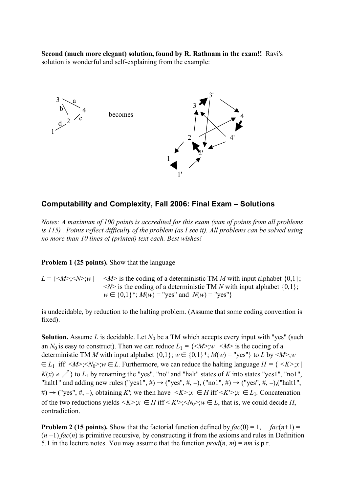**Second (much more elegant) solution, found by R. Rathnam in the exam!!** Ravi's solution is wonderful and self-explaining from the example:



## **Computability and Complexity, Fall 2006: Final Exam – Solutions**

*Notes: A maximum of 100 points is accredited for this exam (sum of points from all problems is 115) . Points reflect difficulty of the problem (as I see it). All problems can be solved using no more than 10 lines of (printed) text each. Best wishes!*

**Problem 1 (25 points).** Show that the language

 $L = \{\langle M \rangle : \langle N \rangle : w \mid \langle M \rangle \}$  is the coding of a deterministic TM *M* with input alphabet  $\{0,1\}$ ;  $\langle N \rangle$  is the coding of a deterministic TM *N* with input alphabet {0,1};  $w \in \{0,1\}^*$ ;  $M(w) =$  "yes" and  $N(w) =$  "yes"}

is undecidable, by reduction to the halting problem. (Assume that some coding convention is fixed).

**Solution.** Assume *L* is decidable. Let  $N_0$  be a TM which accepts every input with "yes" (such an  $N_0$  is easy to construct). Then we can reduce  $L_1 = \{ \langle M \rangle : w \mid \langle M \rangle \}$  is the coding of a deterministic TM *M* with input alphabet  $\{0,1\}$ ;  $w \in \{0,1\}^*$ ;  $M(w) = "yes"$ } to *L* by  $\leq M$ ; *w*  $\epsilon \in L_1$  iff  $\langle M \rangle$ ; $\langle N_0 \rangle$ ; $w \in L$ . Furthermore, we can reduce the halting language  $H = \{ \langle K \rangle : x \in L \}$  $K(x) \neq \bigwedge$  to  $L_1$  by renaming the "yes", "no" and "halt" states of *K* into states "yes1", "no1", "halt1" and adding new rules ("yes1", #)  $\rightarrow$  ("yes", #, -), ("no1", #)  $\rightarrow$  ("yes", #, -),("halt1", #) → ("yes", #, -), obtaining *K*"; we then have  $\langle K \rangle : x \in H$  iff  $\langle K' \rangle : x \in L_1$ . Concatenation of the two reductions yields  $\langle K \rangle : \mathcal{X} \in H$  iff  $\langle K \rangle : \langle N_0 \rangle : \mathcal{W} \in L$ , that is, we could decide *H*, contradiction.

**Problem 2 (15 points).** Show that the factorial function defined by  $fac(0) = 1$ ,  $fac(n+1) =$  $(n+1)$  *fac* $(n)$  is primitive recursive, by constructing it from the axioms and rules in Definition 5.1 in the lecture notes. You may assume that the function  $\text{prod}(n, m) = nm$  is p.r.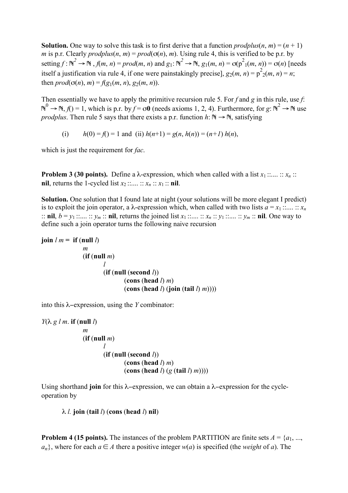**Solution.** One way to solve this task is to first derive that a function  $\text{produlus}(n, m) = (n + 1)$ *m* is p.r. Clearly *prodplus*(*n*, *m*) =  $prod(\sigma(n), m)$ . Using rule 4, this is verified to be p.r. by setting  $f : \mathbb{N}^2 \to \mathbb{N}$  ,  $f(m, n) = prod(m, n)$  and  $g_1: \mathbb{N}^2 \to \mathbb{N}$ ,  $g_1(m, n) = \sigma(p^2_1(m, n)) = \sigma(n)$  [needs itself a justification via rule 4, if one were painstakingly precise],  $g_2(m, n) = p^2(2(m, n) = n;$ then  $prod(\sigma(n), m) = f(g_1(m, n), g_2(m, n))$ .

Then essentially we have to apply the primitive recursion rule 5. For *f* and *g* in this rule, use *f*:  $N^0$  → N, *f*() = 1, which is p.r. by *f* = σ**0** (needs axioms 1, 2, 4). Furthermore, for *g*:  $N^2$  → N use *prodplus*. Then rule 5 says that there exists a p.r. function  $h: \mathbb{N} \to \mathbb{N}$ , satisfying

(i)  $h(0) = f(1) = 1$  and (ii)  $h(n+1) = g(n, h(n)) = (n+1) h(n)$ ,

which is just the requirement for *fac*.

**Problem 3 (30 points).** Define a  $\lambda$ -expression, which when called with a list  $x_1$  ::.... ::  $x_n$  :: **nil**, returns the 1-cycled list  $x_2$  ::.... ::  $x_n$  ::  $x_1$  :: **nil**.

**Solution.** One solution that I found late at night (your solutions will be more elegant I predict) is to exploit the join operator, a  $\lambda$ -expression which, when called with two lists  $a = x_1 : ... : : x_n$ :: **nil**,  $b = y_1$  ::.... ::  $y_m$  :: **nil**, returns the joined list  $x_1$  ::.... ::  $x_n$  ::  $y_1$  ::.... ::  $y_m$  :: **nil**. One way to define such a join operator turns the following naive recursion

```
join l m = if (null l)
        m
        (if (null m)
                   l
                  (if (null (second l))
                             (cons (head l) m)
                             (\text{cons} (\text{head } l) (\text{join} (\text{tail } l) \text{ m})))
```
into this λ−expression, using the *Y* combinator:

```
Y(λ g l m. if (null l)
    m
   (if (null m)
            l
           (if (null (second l))
                   (cons (head l) m)
                   (cons (head l) (g (tail l) m))))
```
Using shorthand **join** for this λ−expression, we can obtain a λ−expression for the cycleoperation by

λ *l.* **join** (**tail** *l*) (**cons** (**head** *l*) **nil**)

**Problem 4 (15 points).** The instances of the problem PARTITION are finite sets  $A = \{a_1, ...,$ *a<sub>n</sub>*}, where for each *a* ∈ *A* there a positive integer *w*(*a*) is specified (the *weight* of *a*). The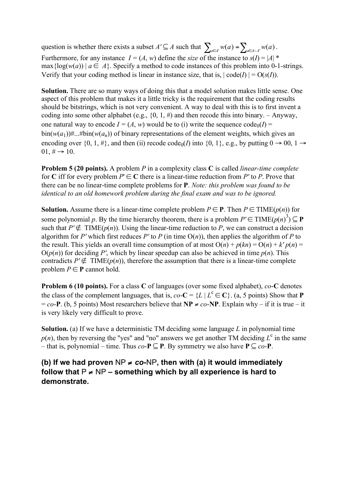question is whether there exists a subset  $A' \subseteq A$  such that  $\sum_{a \in A'} w(a) = \sum_{a \in A - A'} w(a)$ . Furthermore, for any instance  $I = (A, w)$  define the *size* of the instance to  $s(I) = |A|$  \* max { $log(w(a))$  |  $a \in A$ }. Specify a method to code instances of this problem into 0-1-strings. Verify that your coding method is linear in instance size, that is,  $|\text{code}(I)| = O(s(I))$ .

**Solution.** There are so many ways of doing this that a model solution makes little sense. One aspect of this problem that makes it a little tricky is the requirement that the coding results should be bitstrings, which is not very convenient. A way to deal with this is to first invent a coding into some other alphabet (e.g.,  $\{0, 1, \# \}$ ) and then recode this into binary. – Anyway, one natural way to encode  $I = (A, w)$  would be to (i) write the sequence code<sub>0</sub>(*I*) =  $\frac{\sin(w(a_1))\text{#...}}{\sin(w(a_n))}$  of binary representations of the element weights, which gives an encoding over  $\{0, 1, \#\}$ , and then (ii) recode code<sub>0</sub>(*I*) into  $\{0, 1\}$ , e.g., by putting  $0 \rightarrow 00$ ,  $1 \rightarrow$  $01, \# \rightarrow 10.$ 

**Problem 5 (20 points).** A problem *P* in a complexity class **C** is called *linear-time complete* for C iff for every problem  $P' \in \mathbb{C}$  there is a linear-time reduction from P' to P. Prove that there can be no linear-time complete problems for **P**. *Note: this problem was found to be identical to an old homework problem during the final exam and was to be ignored.*

**Solution.** Assume there is a linear-time complete problem  $P \in \mathbf{P}$ . Then  $P \in \text{TIME}(p(n))$  for some polynomial p. By the time hierarchy theorem, there is a problem  $P' \in TIME(p(n)^3) \subseteq \mathbf{P}$ such that  $P' \notin TIME(p(n))$ . Using the linear-time reduction to P, we can construct a decision algorithm for *P'* which first reduces *P'* to *P* (in time  $O(n)$ ), then applies the algorithm of *P* to the result. This yields an overall time consumption of at most  $O(n) + p(kn) = O(n) + k' p(n) =$  $O(p(n))$  for deciding *P'*, which by linear speedup can also be achieved in time  $p(n)$ . This contradicts  $P' \notin TIME(p(n))$ , therefore the assumption that there is a linear-time complete problem  $P \in \mathbf{P}$  cannot hold.

**Problem 6 (10 points).** For a class **C** of languages (over some fixed alphabet), *co*-**C** denotes the class of the complement languages, that is,  $co - C = \{L | L^c \in \mathbb{C} \}$ . (a, 5 points) Show that **P**  $= co-P$ . (b, 5 points) Most researchers believe that **NP**  $\neq co-NP$ . Explain why – if it is true – it is very likely very difficult to prove.

**Solution.** (a) If we have a deterministic TM deciding some language *L* in polynomial time  $p(n)$ , then by reversing the "yes" and "no" answers we get another TM deciding  $L^c$  in the same – that is, polynomial – time. Thus *co*-**P** ⊆ **P**. By symmetry we also have **P** ⊆ *co*-**P**.

**(b)** If we had proven  $NP \neq co-NP$ , then with (a) it would immediately **follow that** P ≠ NP **– something which by all experience is hard to demonstrate.**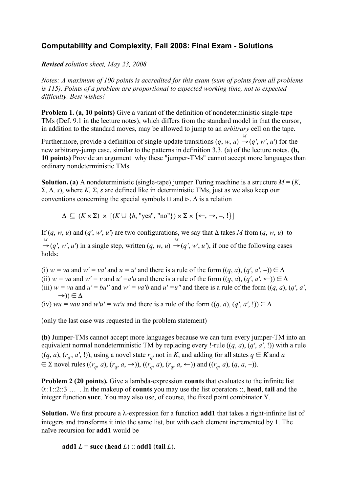## **Computability and Complexity, Fall 2008: Final Exam - Solutions**

*Revised solution sheet, May 23, 2008*

*Notes: A maximum of 100 points is accredited for this exam (sum of points from all problems is 115). Points of a problem are proportional to expected working time, not to expected difficulty. Best wishes!*

**Problem 1. (a, 10 points)** Give a variant of the definition of nondeterministic single-tape TMs (Def. 9.1 in the lecture notes), which differs from the standard model in that the cursor, in addition to the standard moves, may be allowed to jump to an *arbitrary* cell on the tape.

Furthermore, provide a definition of single-update transitions  $(q, w, u) \stackrel{M}{\rightarrow} (q', w', u')$  for the new arbitrary-jump case, similar to the patterns in definition 3.3. (a) of the lecture notes. **(b, 10 points)** Provide an argument why these "jumper-TMs" cannot accept more languages than ordinary nondeterministic TMs.

**Solution.** (a) A nondeterministic (single-tape) jumper Turing machine is a structure  $M = (K, K)$ Σ*,* Δ*, s*), where *K,* Σ, *s* are defined like in deterministic TMs, just as we also keep our conventions concerning the special symbols  $\sqcup$  and  $\triangleright$ .  $\Delta$  is a relation

 $\Delta \subseteq (K \times \Sigma) \times [(K \cup \{h, \text{ "yes", \text{ "no"}\}) \times \Sigma \times \{\leftarrow, \rightarrow, -, !\}]$ 

If  $(q, w, u)$  and  $(q', w', u')$  are two configurations, we say that  $\Delta$  takes *M* from  $(q, w, u)$  to *M*  $\rightarrow$  (*q'*, *w'*, *u'*) in a single step, written (*q*, *w*, *u*)  $\rightarrow$  $\rightarrow$  (q', w', u'), if one of the following cases holds:

(i)  $w = va$  and  $w' = va'$  and  $u = u'$  and there is a rule of the form  $((q, a), (q', a', -)) \in \Delta$ (ii)  $w = va$  and  $w' = v$  and  $u' = a'u$  and there is a rule of the form  $((q, a), (q', a', \leftarrow)) \in \Delta$ (iii)  $w = va$  and  $u' = bu''$  and  $w' = va'b$  and  $u' = u''$  and there is a rule of the form  $((q, a), (q', a',$  $\rightarrow)$ )  $\in \Delta$ 

(iv)  $wu = vau$  and  $w'u' = va'u$  and there is a rule of the form  $((q, a), (q', a', !)) \in \Delta$ 

(only the last case was requested in the problem statement)

**(b)** Jumper-TMs cannot accept more languages because we can turn every jumper-TM into an equivalent normal nondeterministic TM by replacing every !-rule ((*q*, *a*), (*q'*, *a'*, !)) with a rule  $((q, a), (r_q, a', !))$ , using a novel state  $r_q$  not in *K*, and adding for all states  $q \in K$  and *a*  $\in$  ∑ novel rules  $((r_q, a), (r_q, a, \rightarrow))$ ,  $((r_q, a), (r_q, a, \leftarrow))$  and  $((r_q, a), (q, a, \neg))$ .

**Problem 2 (20 points).** Give a lambda-expression **counts** that evaluates to the infinite list 0::1::2::3 … . In the makeup of **counts** you may use the list operators ::, **head**, **tail** and the integer function **succ**. You may also use, of course, the fixed point combinator Y.

**Solution.** We first procure a λ-expression for a function **add1** that takes a right-infinite list of integers and transforms it into the same list, but with each element incremented by 1. The naïve recursion for **add1** would be

**add1**  $L =$  **succ** (**head**  $L$ ) :: **add1** (**tail**  $L$ ).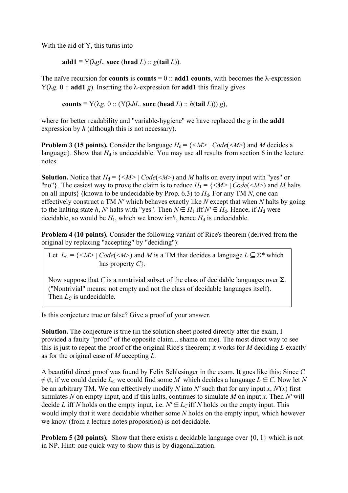With the aid of Y, this turns into

 $\text{add1} \equiv Y(\lambda gL, \text{succ}(\text{head } L))$ :  $g(\text{tail } L)$ ).

The naïve recursion for **counts** is **counts** = 0 :: **add1 counts**, with becomes the  $\lambda$ -expression  $Y(\lambda g, 0)$ : **add1** *g*). Inserting the  $\lambda$ -expression for **add1** this finally gives

**counts**  $\equiv$  Y( $\lambda$ *g*. 0 :: (Y( $\lambda$ *hL*. **succ** (**head** *L*) :: *h*( $\tanh L$ ))) *g*),

where for better readability and "variable-hygiene" we have replaced the *g* in the **add1** expression by *h* (although this is not necessary).

**Problem 3 (15 points).** Consider the language  $H_d = \{ \langle M \rangle | \text{Code}(\langle M \rangle) \}$  and *M* decides a language}. Show that  $H_d$  is undecidable. You may use all results from section 6 in the lecture notes.

**Solution.** Notice that  $H_d = \{ \langle M \rangle | Code(\langle M \rangle) \rangle \}$  and M halts on every input with "yes" or "no"}. The easiest way to prove the claim is to reduce  $H_1 = \{ \le M \ge | Code(\le M \ge 0) \}$  and M halts on all inputs} (known to be undecidable by Prop. 6.3) to  $H_d$ . For any TM N, one can effectively construct a TM *N'* which behaves exactly like *N* except that when *N* halts by going to the halting state *h*, *N'* halts with "yes". Then  $N \in H_1$  iff  $N' \in H_d$ . Hence, if  $H_d$  were decidable, so would be  $H_1$ , which we know isn't, hence  $H_d$  is undecidable.

**Problem 4 (10 points).** Consider the following variant of Rice's theorem (derived from the original by replacing "accepting" by "deciding"):

Let  $L_C = \{ \langle M \rangle | Code(\langle M \rangle) \rangle \}$  and M is a TM that decides a language  $L \subseteq \Sigma^*$  which has property *C*}.

Now suppose that *C* is a nontrivial subset of the class of decidable languages over  $\Sigma$ . ("Nontrivial" means: not empty and not the class of decidable languages itself). Then  $L_C$  is undecidable.

Is this conjecture true or false? Give a proof of your answer.

**Solution.** The conjecture is true (in the solution sheet posted directly after the exam, I provided a faulty "proof" of the opposite claim... shame on me). The most direct way to see this is just to repeat the proof of the original Rice's theorem; it works for *M* deciding *L* exactly as for the original case of *M* accepting *L.*

A beautiful direct proof was found by Felix Schlesinger in the exam. It goes like this: Since C  $\neq \emptyset$ , if we could decide  $L_C$  we could find some M which decides a language  $L \in C$ . Now let N be an arbitrary TM. We can effectively modify *N* into *N'* such that for any input *x*,  $N'(x)$  first simulates *N* on empty input, and if this halts, continues to simulate *M* on input *x*. Then *N'* will decide *L* iff *N* holds on the empty input, i.e.  $N' \in L_C$  iff *N* holds on the empty input. This would imply that it were decidable whether some *N* holds on the empty input, which however we know (from a lecture notes proposition) is not decidable.

**Problem 5 (20 points).** Show that there exists a decidable language over  $\{0, 1\}$  which is not in NP. Hint: one quick way to show this is by diagonalization.